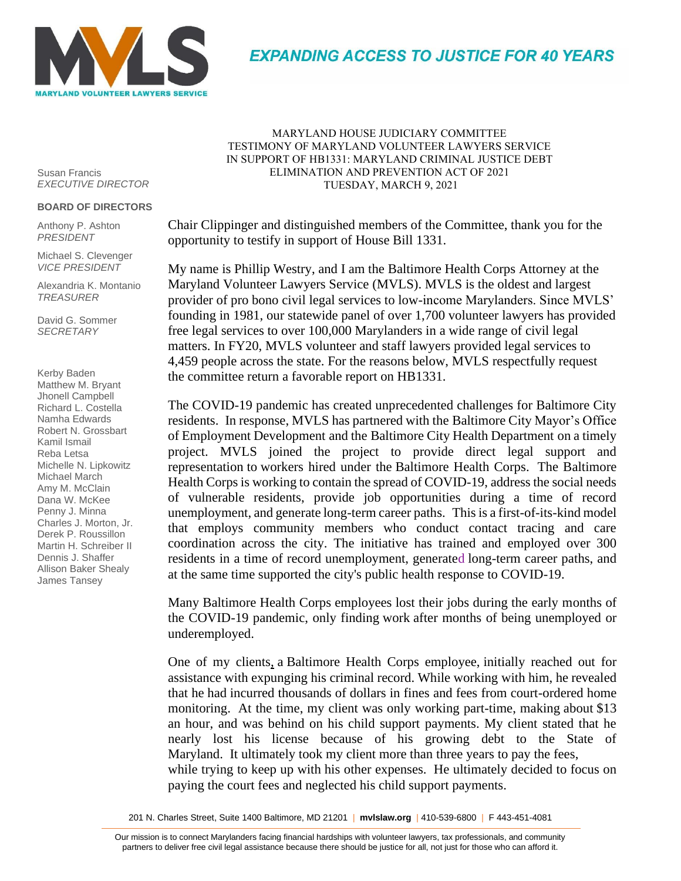

**EXPANDING ACCESS TO JUSTICE FOR 40 YEARS** 

Susan Francis *EXECUTIVE DIRECTOR*

## **BOARD OF DIRECTORS**

Anthony P. Ashton *PRESIDENT*

Michael S. Clevenger *VICE PRESIDENT*

Alexandria K. Montanio *TREASURER*

David G. Sommer *SECRETARY*

Kerby Baden Matthew M. Bryant Jhonell Campbell Richard L. Costella Namha Edwards Robert N. Grossbart Kamil Ismail Reba Letsa Michelle N. Lipkowitz Michael March Amy M. McClain Dana W. McKee Penny J. Minna Charles J. Morton, Jr. Derek P. Roussillon Martin H. Schreiber II Dennis J. Shaffer Allison Baker Shealy James Tansey

MARYLAND HOUSE JUDICIARY COMMITTEE TESTIMONY OF MARYLAND VOLUNTEER LAWYERS SERVICE IN SUPPORT OF HB1331: MARYLAND CRIMINAL JUSTICE DEBT ELIMINATION AND PREVENTION ACT OF 2021 TUESDAY, MARCH 9, 2021

Chair Clippinger and distinguished members of the Committee, thank you for the opportunity to testify in support of House Bill 1331.

My name is Phillip Westry, and I am the Baltimore Health Corps Attorney at the Maryland Volunteer Lawyers Service (MVLS). MVLS is the oldest and largest provider of pro bono civil legal services to low-income Marylanders. Since MVLS' founding in 1981, our statewide panel of over 1,700 volunteer lawyers has provided free legal services to over 100,000 Marylanders in a wide range of civil legal matters. In FY20, MVLS volunteer and staff lawyers provided legal services to 4,459 people across the state. For the reasons below, MVLS respectfully request the committee return a favorable report on HB1331.

The COVID-19 pandemic has created unprecedented challenges for Baltimore City residents. In response, MVLS has partnered with the [Baltimore City Mayor's Office](https://moed.baltimorecity.gov/)  [of Employment Development](https://moed.baltimorecity.gov/) and the [Baltimore City Health Department](https://health.baltimorecity.gov/) on a timely project. MVLS joined the project to provide direct legal support and representation to workers hired under the [Baltimore Health Corps.](https://www.baltimorecorps.org/baltimore-health-corps) The Baltimore Health Corps is working to contain the spread of COVID-19, address the social needs of vulnerable residents, provide job opportunities during a time of record unemployment, and generate long-term career paths. This is a first-of-its-kind model that employs community members who conduct contact tracing and care coordination across the city. The initiative has trained and employed over 300 residents in a time of record unemployment, generated long-term career paths, and at the same time supported the city's public health response to COVID-19.

Many Baltimore Health Corps employees lost their jobs during the early months of the COVID-19 pandemic, only finding work after months of being unemployed or underemployed.

One of my clients, a Baltimore Health Corps employee, initially reached out for assistance with expunging his criminal record. While working with him, he revealed that he had incurred thousands of dollars in fines and fees from court-ordered home monitoring. At the time, my client was only working part-time, making about \$13 an hour, and was behind on his child support payments. My client stated that he nearly lost his license because of his growing debt to the State of Maryland. It ultimately took my client more than three years to pay the fees, while trying to keep up with his other expenses. He ultimately decided to focus on paying the court fees and neglected his child support payments.

201 N. Charles Street, Suite 1400 Baltimore, MD 21201 | **mvlslaw.org** | 410-539-6800 | F 443-451-4081

<u>n</u><br>Our mission is to connect Marylanders facing financial hardships with volunteer lawyers, tax professionals, and community ar mission is to connect warylanders rading imandial nardships with volunteer lawyers, tax professionals, and community<br>partners to deliver free civil legal assistance because there should be justice for all, not just for